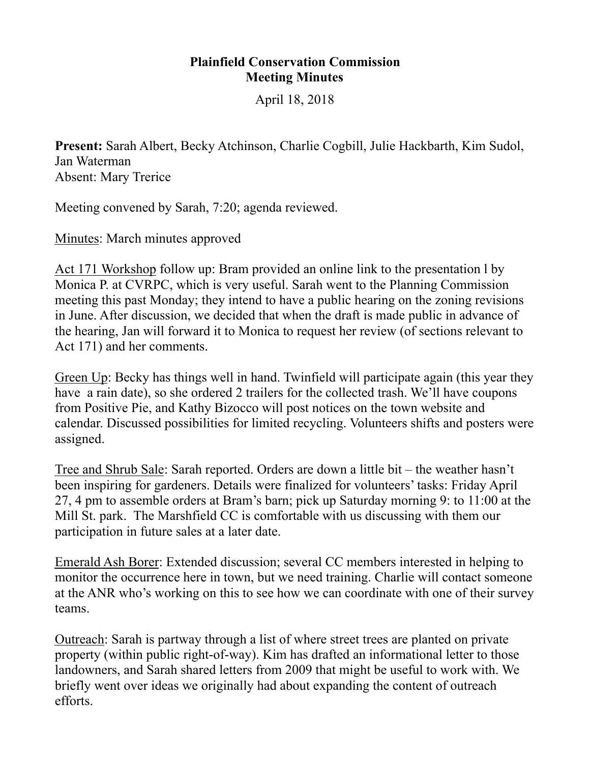## **Plainfield Conservation Commission Meeting Minutes**

April 18, 2018

**Present:** Sarah Albert, Becky Atchinson, Charlie Cogbill, Julie Hackbarth, Kim Sudol, Jan Waterman Absent: Mary Trerice

Meeting convened by Sarah, 7:20; agenda reviewed.

Minutes: March minutes approved

Act 171 Workshop follow up: Bram provided an online link to the presentation l by Monica P. at CVRPC, which is very useful. Sarah went to the Planning Commission meeting this past Monday; they intend to have a public hearing on the zoning revisions in June. After discussion, we decided that when the draft is made public in advance of the hearing, Jan will forward it to Monica to request her review (of sections relevant to Act 171) and her comments.

Green Up: Becky has things well in hand. Twinfield will participate again (this year they have a rain date), so she ordered 2 trailers for the collected trash. We'll have coupons from Positive Pie, and Kathy Bizocco will post notices on the town website and calendar. Discussed possibilities for limited recycling. Volunteers shifts and posters were assigned.

Tree and Shrub Sale: Sarah reported. Orders are down a little bit – the weather hasn't been inspiring for gardeners. Details were finalized for volunteers' tasks: Friday April 27, 4 pm to assemble orders at Bram's barn; pick up Saturday morning 9: to 11:00 at the Mill St. park. The Marshfield CC is comfortable with us discussing with them our participation in future sales at a later date.

Emerald Ash Borer: Extended discussion; several CC members interested in helping to monitor the occurrence here in town, but we need training. Charlie will contact someone at the ANR who's working on this to see how we can coordinate with one of their survey teams.

Outreach: Sarah is partway through a list of where street trees are planted on private property (within public right-of-way). Kim has drafted an informational letter to those landowners, and Sarah shared letters from 2009 that might be useful to work with. We briefly went over ideas we originally had about expanding the content of outreach efforts.